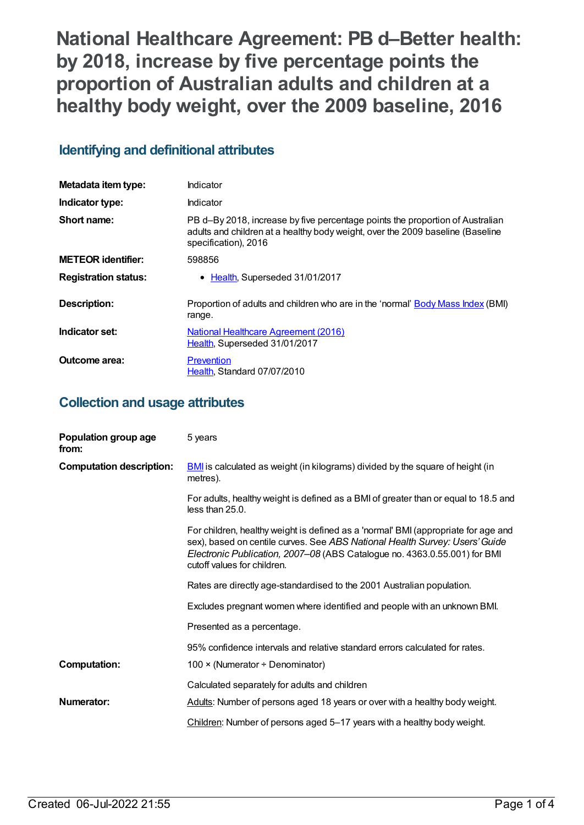**National Healthcare Agreement: PB d–Better health: by 2018, increase by five percentage points the proportion of Australian adults and children at a healthy body weight, over the 2009 baseline, 2016**

# **Identifying and definitional attributes**

| Metadata item type:         | Indicator                                                                                                                                                                               |
|-----------------------------|-----------------------------------------------------------------------------------------------------------------------------------------------------------------------------------------|
| Indicator type:             | Indicator                                                                                                                                                                               |
| Short name:                 | PB d-By 2018, increase by five percentage points the proportion of Australian<br>adults and children at a healthy body weight, over the 2009 baseline (Baseline<br>specification), 2016 |
| <b>METEOR identifier:</b>   | 598856                                                                                                                                                                                  |
| <b>Registration status:</b> | • Health, Superseded 31/01/2017                                                                                                                                                         |
| Description:                | Proportion of adults and children who are in the 'normal' Body Mass Index (BMI)<br>range.                                                                                               |
| Indicator set:              | <b>National Healthcare Agreement (2016)</b><br>Health, Superseded 31/01/2017                                                                                                            |
| Outcome area:               | Prevention<br>Health, Standard 07/07/2010                                                                                                                                               |

# **Collection and usage attributes**

| Population group age<br>from:   | 5 years                                                                                                                                                                                                                                                                       |
|---------------------------------|-------------------------------------------------------------------------------------------------------------------------------------------------------------------------------------------------------------------------------------------------------------------------------|
| <b>Computation description:</b> | <b>BMI</b> is calculated as weight (in kilograms) divided by the square of height (in<br>metres).                                                                                                                                                                             |
|                                 | For adults, healthy weight is defined as a BMI of greater than or equal to 18.5 and<br>less than 25.0.                                                                                                                                                                        |
|                                 | For children, healthy weight is defined as a 'normal' BMI (appropriate for age and<br>sex), based on centile curves. See ABS National Health Survey: Users' Guide<br>Electronic Publication, 2007–08 (ABS Catalogue no. 4363.0.55.001) for BMI<br>cutoff values for children. |
|                                 | Rates are directly age-standardised to the 2001 Australian population.                                                                                                                                                                                                        |
|                                 | Excludes pregnant women where identified and people with an unknown BMI.                                                                                                                                                                                                      |
|                                 | Presented as a percentage.                                                                                                                                                                                                                                                    |
|                                 | 95% confidence intervals and relative standard errors calculated for rates.                                                                                                                                                                                                   |
| <b>Computation:</b>             | 100 $\times$ (Numerator ÷ Denominator)                                                                                                                                                                                                                                        |
|                                 | Calculated separately for adults and children                                                                                                                                                                                                                                 |
| Numerator:                      | Adults: Number of persons aged 18 years or over with a healthy body weight.                                                                                                                                                                                                   |
|                                 | Children: Number of persons aged 5-17 years with a healthy body weight.                                                                                                                                                                                                       |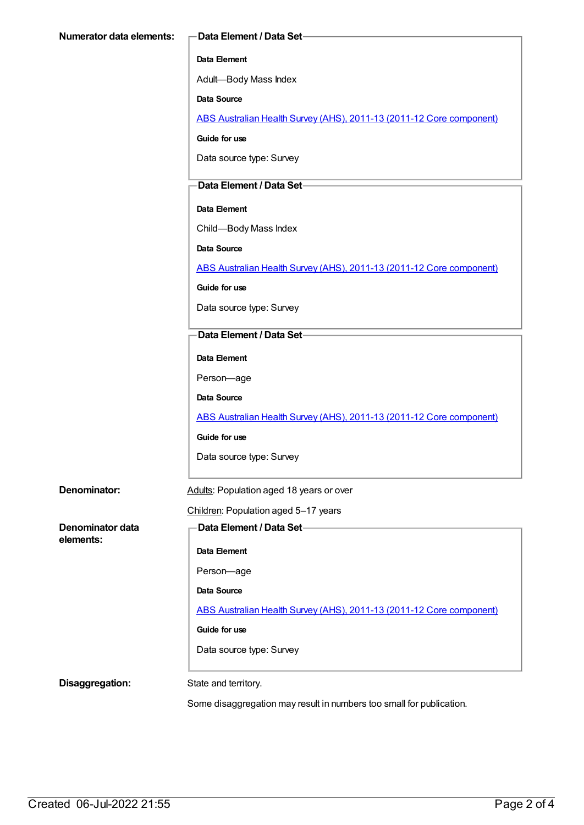#### **Data Element**

Adult—Body Mass Index

**Data Source**

ABS Australian Health Survey (AHS), 2011-13 (2011-12 Core [component\)](https://meteor.aihw.gov.au/content/585476)

**Guide for use**

Data source type: Survey

#### **Data Element / Data Set**

#### **Data Element**

Child—Body Mass Index

**Data Source**

ABS Australian Health Survey (AHS), 2011-13 (2011-12 Core [component\)](https://meteor.aihw.gov.au/content/585476)

**Guide for use**

Data source type: Survey

### **Data Element / Data Set**

**Data Element**

Person—age

**Data Source**

ABS Australian Health Survey (AHS), 2011-13 (2011-12 Core [component\)](https://meteor.aihw.gov.au/content/585476)

**Guide for use**

Data source type: Survey

| Denominator: | Adults: Population aged 18 years or over |
|--------------|------------------------------------------|
|              |                                          |

## Children: Population aged 5–17 years

**Denominator data elements:**

**Data Element / Data Set**

**Data Element**

Person—age

**Data Source**

ABS Australian Health Survey (AHS), 2011-13 (2011-12 Core [component\)](https://meteor.aihw.gov.au/content/585476)

**Guide for use**

Data source type: Survey

**Disaggregation:** State and territory.

Some disaggregation may result in numbers too small for publication.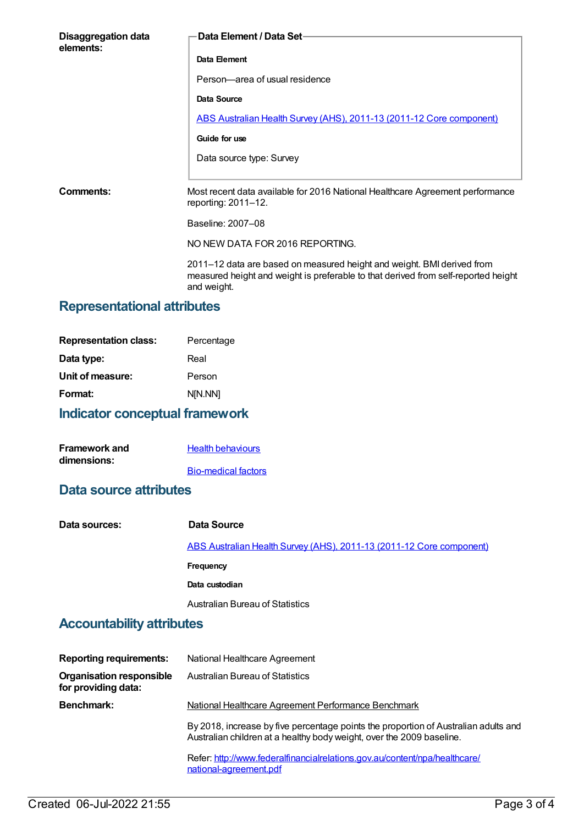| Data Element / Data Set-                                                                                  |
|-----------------------------------------------------------------------------------------------------------|
| Data Element                                                                                              |
| Person-area of usual residence                                                                            |
| Data Source                                                                                               |
| ABS Australian Health Survey (AHS), 2011-13 (2011-12 Core component)                                      |
| Guide for use                                                                                             |
| Data source type: Survey                                                                                  |
|                                                                                                           |
| Most recent data available for 2016 National Healthcare Agreement performance<br>reporting: $2011 - 12$ . |
| Baseline: 2007-08                                                                                         |
| NO NEW DATA FOR 2016 REPORTING.                                                                           |
|                                                                                                           |

2011–12 data are based on measured height and weight. BMI derived from measured height and weight is preferable to that derived from self-reported height and weight.

## **Representational attributes**

| <b>Representation class:</b> | Percentage |
|------------------------------|------------|
| Data type:                   | Real       |
| Unit of measure:             | Person     |
| Format:                      | N[N.NN]    |
|                              |            |

## **Indicator conceptual framework**

| <b>Framework and</b> | <b>Health behaviours</b>   |
|----------------------|----------------------------|
| dimensions:          |                            |
|                      | <b>Bio-medical factors</b> |

# **Data source attributes**

| Data sources: | Data Source                                                          |
|---------------|----------------------------------------------------------------------|
|               | ABS Australian Health Survey (AHS), 2011-13 (2011-12 Core component) |
|               | Frequency                                                            |
|               | Data custodian                                                       |
|               | <b>Australian Bureau of Statistics</b>                               |

# **Accountability attributes**

| <b>Reporting requirements:</b>                         | National Healthcare Agreement                                                                                                                                |
|--------------------------------------------------------|--------------------------------------------------------------------------------------------------------------------------------------------------------------|
| <b>Organisation responsible</b><br>for providing data: | Australian Bureau of Statistics                                                                                                                              |
| <b>Benchmark:</b>                                      | National Healthcare Agreement Performance Benchmark                                                                                                          |
|                                                        | By 2018, increase by five percentage points the proportion of Australian adults and<br>Australian children at a healthy body weight, over the 2009 baseline. |
|                                                        | Refer: http://www.federalfinancialrelations.gov.au/content/npa/healthcare/<br>national-agreement.pdf                                                         |